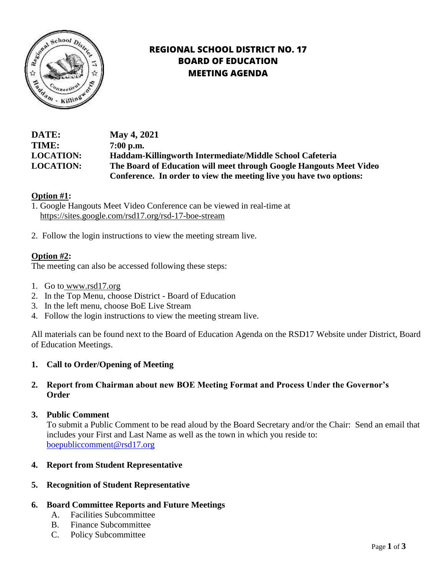

# **REGIONAL SCHOOL DISTRICT NO. 17 BOARD OF EDUCATION MEETING AGENDA**

# **DATE: May 4, 2021 TIME: 7:00 p.m. LOCATION: Haddam-Killingworth Intermediate/Middle School Cafeteria LOCATION: The Board of Education will meet through Google Hangouts Meet Video Conference. In order to view the meeting live you have two options:**

# **Option #1:**

- 1. Google Hangouts Meet Video Conference can be viewed in real-time at <https://sites.google.com/rsd17.org/rsd-17-boe-stream>
- 2. Follow the login instructions to view the meeting stream live.

# **Option #2:**

The meeting can also be accessed following these steps:

- 1. Go to [www.rsd17.org](http://www.rsd17.org/)
- 2. In the Top Menu, choose District Board of Education
- 3. In the left menu, choose BoE Live Stream
- 4. Follow the login instructions to view the meeting stream live.

All materials can be found next to the Board of Education Agenda on the RSD17 Website under District, Board of Education Meetings.

# **1. Call to Order/Opening of Meeting**

#### **2. Report from Chairman about new BOE Meeting Format and Process Under the Governor's Order**

#### **3. Public Comment**

To submit a Public Comment to be read aloud by the Board Secretary and/or the Chair: Send an email that includes your First and Last Name as well as the town in which you reside to: [boepubliccomment@rsd17.org](mailto:boepubliccomment@rsd17.org)

# **4. Report from Student Representative**

#### **5. Recognition of Student Representative**

#### **6. Board Committee Reports and Future Meetings**

- A. Facilities Subcommittee
- B. Finance Subcommittee
- C. Policy Subcommittee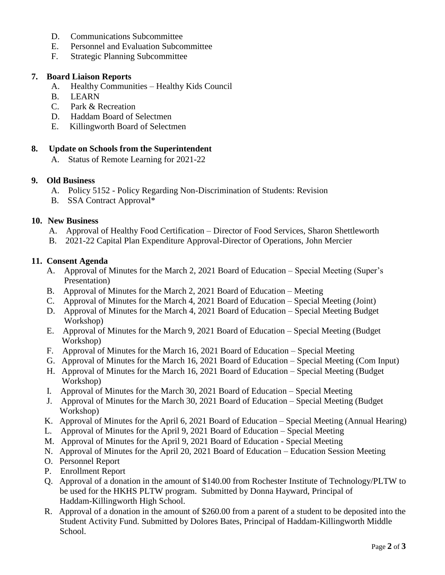- D. Communications Subcommittee
- E. Personnel and Evaluation Subcommittee
- F. Strategic Planning Subcommittee

# **7. Board Liaison Reports**

- A. Healthy Communities Healthy Kids Council
- B. LEARN
- C. Park & Recreation
- D. Haddam Board of Selectmen
- E. Killingworth Board of Selectmen

#### **8. Update on Schools from the Superintendent**

A. Status of Remote Learning for 2021-22

#### **9. Old Business**

- A. Policy 5152 Policy Regarding Non-Discrimination of Students: Revision
- B. SSA Contract Approval\*

#### **10. New Business**

- A. Approval of Healthy Food Certification Director of Food Services, Sharon Shettleworth
- B. 2021-22 Capital Plan Expenditure Approval-Director of Operations, John Mercier

#### **11. Consent Agenda**

- A. Approval of Minutes for the March 2, 2021 Board of Education Special Meeting (Super's Presentation)
- B. Approval of Minutes for the March 2, 2021 Board of Education Meeting
- C. Approval of Minutes for the March 4, 2021 Board of Education Special Meeting (Joint)
- D. Approval of Minutes for the March 4, 2021 Board of Education Special Meeting Budget Workshop)
- E. Approval of Minutes for the March 9, 2021 Board of Education Special Meeting (Budget Workshop)
- F. Approval of Minutes for the March 16, 2021 Board of Education Special Meeting
- G. Approval of Minutes for the March 16, 2021 Board of Education Special Meeting (Com Input)
- H. Approval of Minutes for the March 16, 2021 Board of Education Special Meeting (Budget Workshop)
- I. Approval of Minutes for the March 30, 2021 Board of Education Special Meeting
- J. Approval of Minutes for the March 30, 2021 Board of Education Special Meeting (Budget Workshop)
- K. Approval of Minutes for the April 6, 2021 Board of Education Special Meeting (Annual Hearing)
- L. Approval of Minutes for the April 9, 2021 Board of Education Special Meeting
- M. Approval of Minutes for the April 9, 2021 Board of Education Special Meeting
- N. Approval of Minutes for the April 20, 2021 Board of Education Education Session Meeting
- O. Personnel Report
- P. Enrollment Report
- Q. Approval of a donation in the amount of \$140.00 from Rochester Institute of Technology/PLTW to be used for the HKHS PLTW program. Submitted by Donna Hayward, Principal of Haddam-Killingworth High School.
- R. Approval of a donation in the amount of \$260.00 from a parent of a student to be deposited into the Student Activity Fund. Submitted by Dolores Bates, Principal of Haddam-Killingworth Middle School.